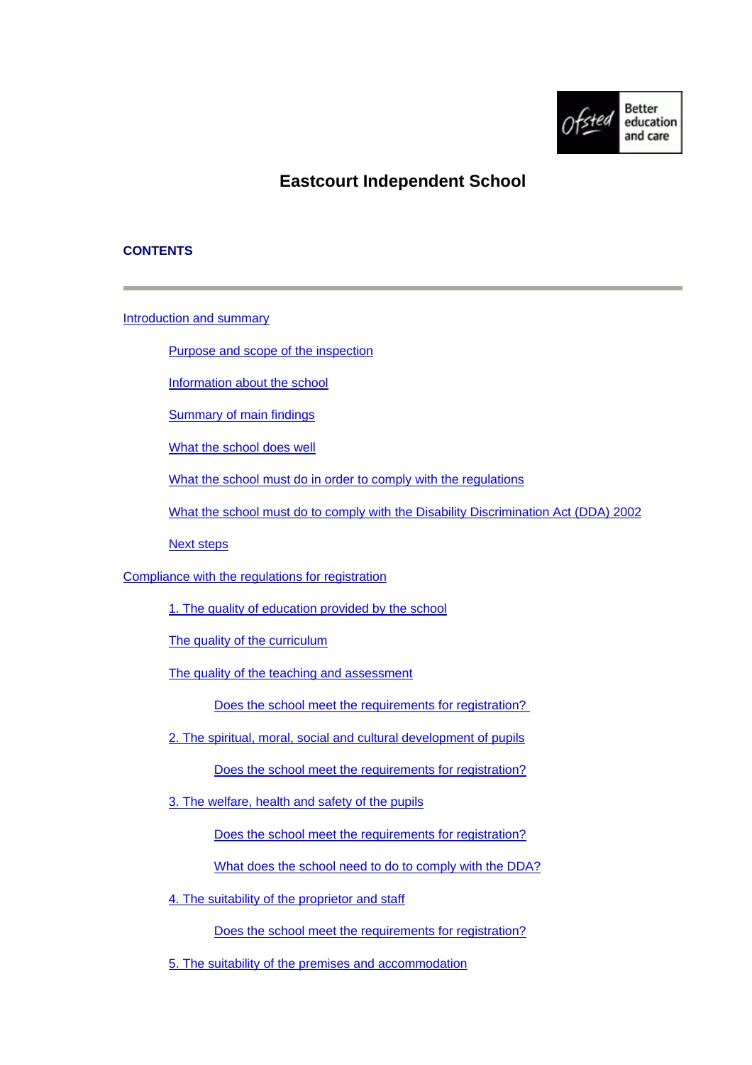

# **Eastcourt Independent School**

# **CONTENTS**

[Introduction and summary](#page-1-0)

[Purpose and scope of the inspection](#page-1-0)

[Information about the school](#page-1-0)

[Summary of main findings](#page-1-0)

[What the school does well](#page-2-0)

[What the school must do in order to comply with the regulations](#page-2-0)

[What the school must do to comply with the Disability Discrimination Act \(DDA\) 2002](#page-2-0)

[Next steps](#page-2-0)

[Compliance with the regulations for registration](#page-3-0)

[1. The quality of education provided by the school](#page-3-0)

[The quality of the curriculum](#page-3-0)

[The quality of the teaching and assessment](#page-3-0)

[Does the school meet the requirements for registration?](#page-4-0) 

- [2. The spiritual, moral, social and cultural development of pupils](#page-4-0) [Does the school meet the requirements for registration?](#page-5-0)
- [3. The welfare, health and safety of the pupils](#page-5-0)

[Does the school meet the requirements for registration?](#page-6-0)

[What does the school need to do to comply with the DDA?](#page-6-0)

[4. The suitability of the proprietor and staff](#page-6-0)

[Does the school meet the requirements for registration?](#page-6-0)

[5. The suitability of the premises and accommodation](#page-6-0)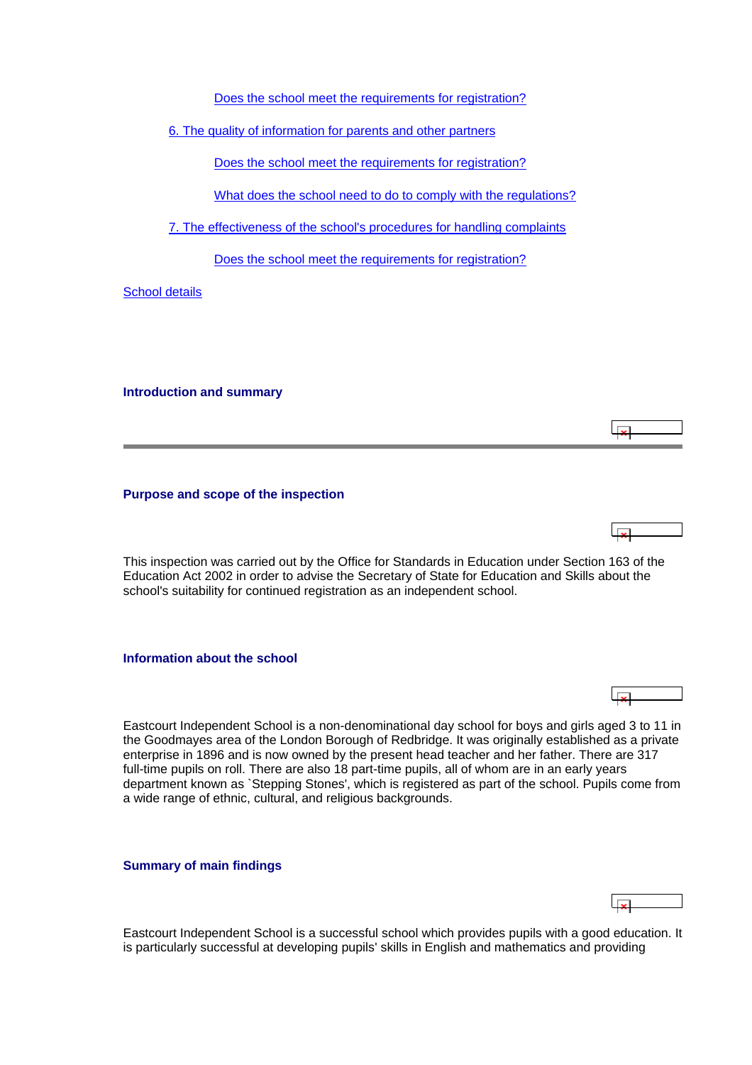[Does the school meet the requirements for registration?](#page-7-0)

<span id="page-1-0"></span>[6. The quality of information for parents and other partners](#page-7-0)

[Does the school meet the requirements for registration?](#page-7-0)

[What does the school need to do to comply with the regulations?](#page-8-0)

[7. The effectiveness of the school's procedures for handling complaints](#page-8-0)

[Does the school meet the requirements for registration?](#page-8-0)

[School details](#page-8-0)

**Introduction and summary**

**Purpose and scope of the inspection**

This inspection was carried out by the Office for Standards in Education under Section 163 of the Education Act 2002 in order to advise the Secretary of State for Education and Skills about the school's suitability for continued registration as an independent school.

 $\overline{\mathbf{r}}$ 

 $\overline{\phantom{a}}$ 

**Information about the school**

Eastcourt Independent School is a non-denominational day school for boys and girls aged 3 to 11 in the Goodmayes area of the London Borough of Redbridge. It was originally established as a private enterprise in 1896 and is now owned by the present head teacher and her father. There are 317 full-time pupils on roll. There are also 18 part-time pupils, all of whom are in an early years department known as `Stepping Stones', which is registered as part of the school. Pupils come from a wide range of ethnic, cultural, and religious backgrounds.

**Summary of main findings**

Eastcourt Independent School is a successful school which provides pupils with a good education. It is particularly successful at developing pupils' skills in English and mathematics and providing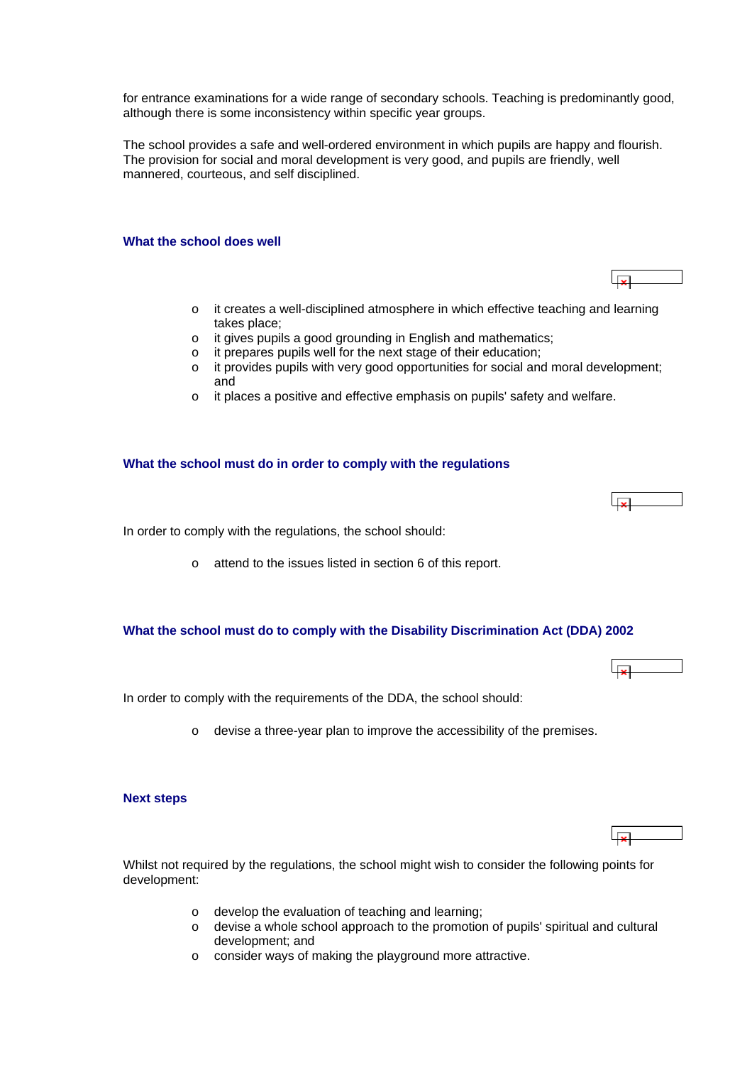<span id="page-2-0"></span>for entrance examinations for a wide range of secondary schools. Teaching is predominantly good, although there is some inconsistency within specific year groups.

The school provides a safe and well-ordered environment in which pupils are happy and flourish. The provision for social and moral development is very good, and pupils are friendly, well mannered, courteous, and self disciplined.

# **What the school does well**

- o it creates a well-disciplined atmosphere in which effective teaching and learning takes place;
- o it gives pupils a good grounding in English and mathematics;
- o it prepares pupils well for the next stage of their education;
- o it provides pupils with very good opportunities for social and moral development; and
- o it places a positive and effective emphasis on pupils' safety and welfare.

#### **What the school must do in order to comply with the regulations**

ا ت

In order to comply with the regulations, the school should:

o attend to the issues listed in section 6 of this report.

### **What the school must do to comply with the Disability Discrimination Act (DDA) 2002**

In order to comply with the requirements of the DDA, the school should:

o devise a three-year plan to improve the accessibility of the premises.

### **Next steps**

Whilst not required by the regulations, the school might wish to consider the following points for development:

- o develop the evaluation of teaching and learning;
- o devise a whole school approach to the promotion of pupils' spiritual and cultural development; and
- o consider ways of making the playground more attractive.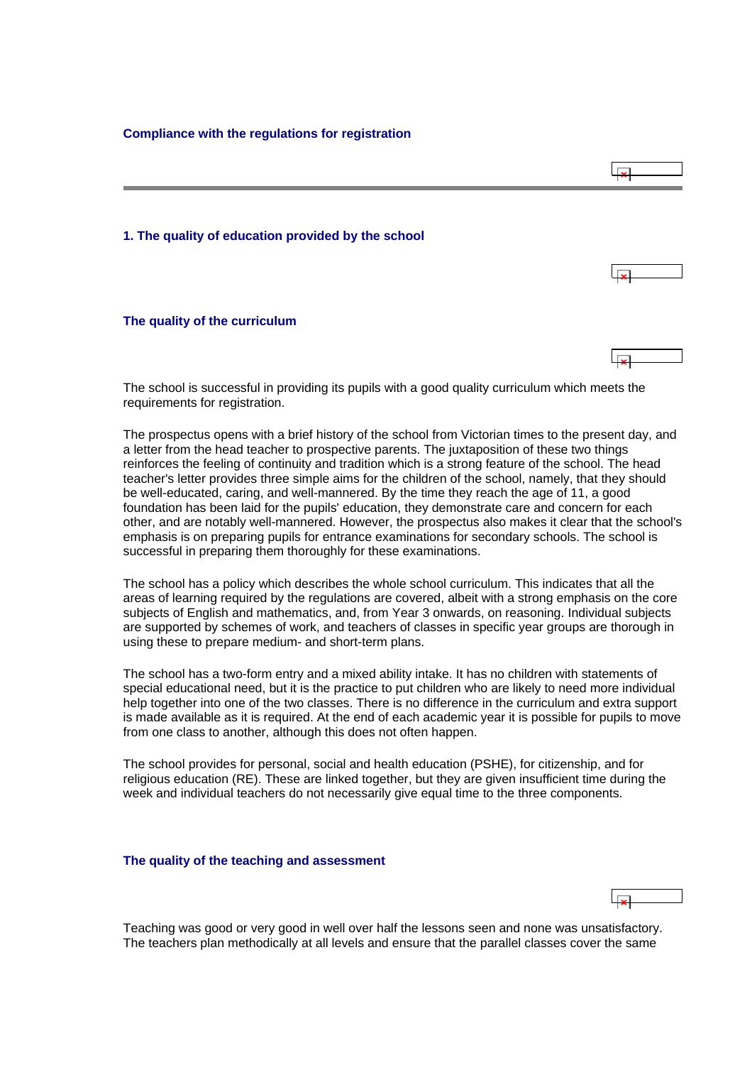<span id="page-3-0"></span>**Compliance with the regulations for registration**



The school is successful in providing its pupils with a good quality curriculum which meets the requirements for registration.

The prospectus opens with a brief history of the school from Victorian times to the present day, and a letter from the head teacher to prospective parents. The juxtaposition of these two things reinforces the feeling of continuity and tradition which is a strong feature of the school. The head teacher's letter provides three simple aims for the children of the school, namely, that they should be well-educated, caring, and well-mannered. By the time they reach the age of 11, a good foundation has been laid for the pupils' education, they demonstrate care and concern for each other, and are notably well-mannered. However, the prospectus also makes it clear that the school's emphasis is on preparing pupils for entrance examinations for secondary schools. The school is successful in preparing them thoroughly for these examinations.

The school has a policy which describes the whole school curriculum. This indicates that all the areas of learning required by the regulations are covered, albeit with a strong emphasis on the core subjects of English and mathematics, and, from Year 3 onwards, on reasoning. Individual subjects are supported by schemes of work, and teachers of classes in specific year groups are thorough in using these to prepare medium- and short-term plans.

The school has a two-form entry and a mixed ability intake. It has no children with statements of special educational need, but it is the practice to put children who are likely to need more individual help together into one of the two classes. There is no difference in the curriculum and extra support is made available as it is required. At the end of each academic year it is possible for pupils to move from one class to another, although this does not often happen.

The school provides for personal, social and health education (PSHE), for citizenship, and for religious education (RE). These are linked together, but they are given insufficient time during the week and individual teachers do not necessarily give equal time to the three components.

#### **The quality of the teaching and assessment**

Teaching was good or very good in well over half the lessons seen and none was unsatisfactory. The teachers plan methodically at all levels and ensure that the parallel classes cover the same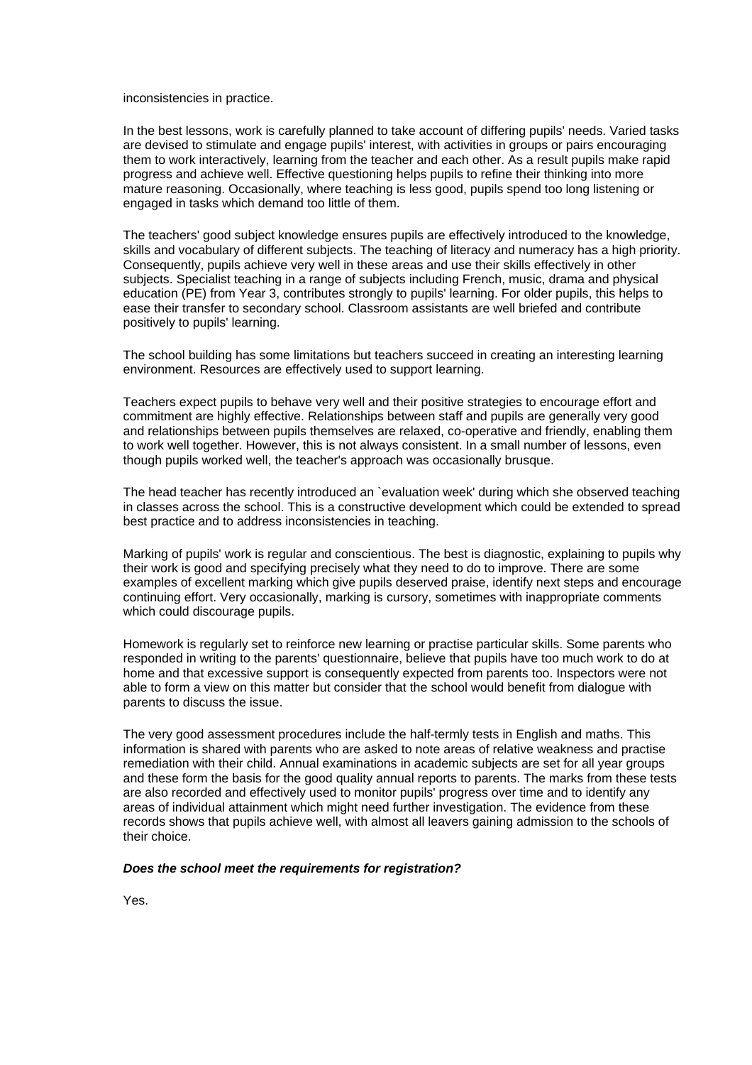<span id="page-4-0"></span>inconsistencies in practice.

In the best lessons, work is carefully planned to take account of differing pupils' needs. Varied tasks are devised to stimulate and engage pupils' interest, with activities in groups or pairs encouraging them to work interactively, learning from the teacher and each other. As a result pupils make rapid progress and achieve well. Effective questioning helps pupils to refine their thinking into more mature reasoning. Occasionally, where teaching is less good, pupils spend too long listening or engaged in tasks which demand too little of them.

The teachers' good subject knowledge ensures pupils are effectively introduced to the knowledge, skills and vocabulary of different subjects. The teaching of literacy and numeracy has a high priority. Consequently, pupils achieve very well in these areas and use their skills effectively in other subjects. Specialist teaching in a range of subjects including French, music, drama and physical education (PE) from Year 3, contributes strongly to pupils' learning. For older pupils, this helps to ease their transfer to secondary school. Classroom assistants are well briefed and contribute positively to pupils' learning.

The school building has some limitations but teachers succeed in creating an interesting learning environment. Resources are effectively used to support learning.

Teachers expect pupils to behave very well and their positive strategies to encourage effort and commitment are highly effective. Relationships between staff and pupils are generally very good and relationships between pupils themselves are relaxed, co-operative and friendly, enabling them to work well together. However, this is not always consistent. In a small number of lessons, even though pupils worked well, the teacher's approach was occasionally brusque.

The head teacher has recently introduced an `evaluation week' during which she observed teaching in classes across the school. This is a constructive development which could be extended to spread best practice and to address inconsistencies in teaching.

Marking of pupils' work is regular and conscientious. The best is diagnostic, explaining to pupils why their work is good and specifying precisely what they need to do to improve. There are some examples of excellent marking which give pupils deserved praise, identify next steps and encourage continuing effort. Very occasionally, marking is cursory, sometimes with inappropriate comments which could discourage pupils.

Homework is regularly set to reinforce new learning or practise particular skills. Some parents who responded in writing to the parents' questionnaire, believe that pupils have too much work to do at home and that excessive support is consequently expected from parents too. Inspectors were not able to form a view on this matter but consider that the school would benefit from dialogue with parents to discuss the issue.

The very good assessment procedures include the half-termly tests in English and maths. This information is shared with parents who are asked to note areas of relative weakness and practise remediation with their child. Annual examinations in academic subjects are set for all year groups and these form the basis for the good quality annual reports to parents. The marks from these tests are also recorded and effectively used to monitor pupils' progress over time and to identify any areas of individual attainment which might need further investigation. The evidence from these records shows that pupils achieve well, with almost all leavers gaining admission to the schools of their choice.

#### *Does the school meet the requirements for registration?*

Yes.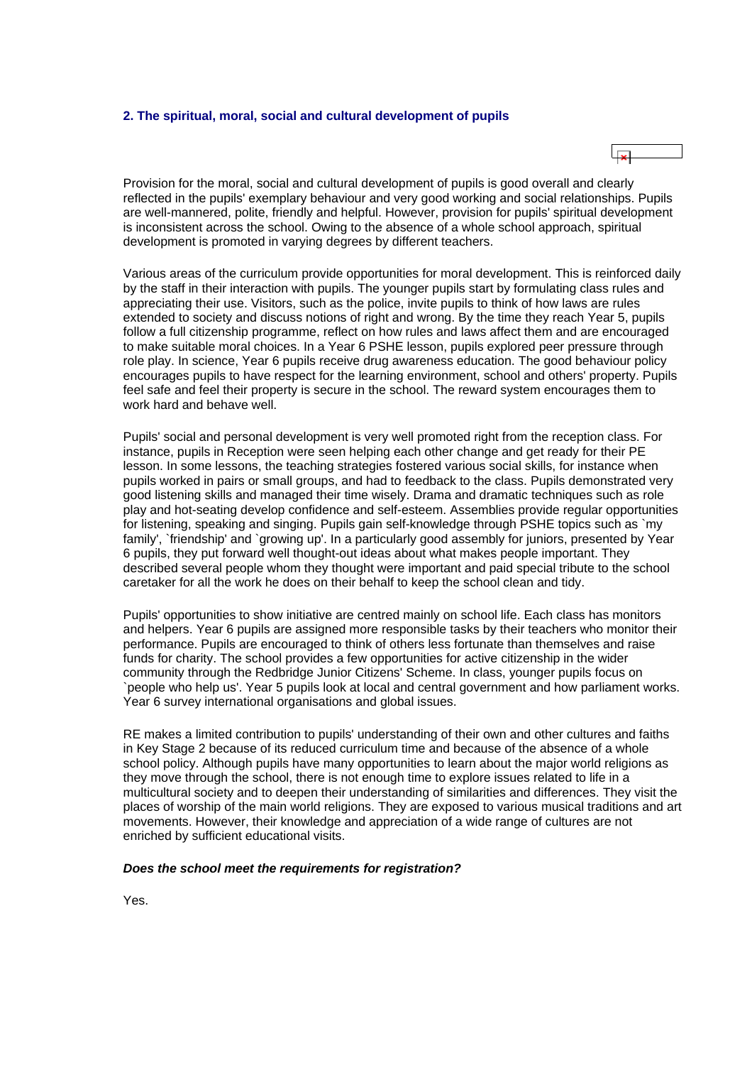#### <span id="page-5-0"></span>**2. The spiritual, moral, social and cultural development of pupils**



Provision for the moral, social and cultural development of pupils is good overall and clearly reflected in the pupils' exemplary behaviour and very good working and social relationships. Pupils are well-mannered, polite, friendly and helpful. However, provision for pupils' spiritual development is inconsistent across the school. Owing to the absence of a whole school approach, spiritual development is promoted in varying degrees by different teachers.

Various areas of the curriculum provide opportunities for moral development. This is reinforced daily by the staff in their interaction with pupils. The younger pupils start by formulating class rules and appreciating their use. Visitors, such as the police, invite pupils to think of how laws are rules extended to society and discuss notions of right and wrong. By the time they reach Year 5, pupils follow a full citizenship programme, reflect on how rules and laws affect them and are encouraged to make suitable moral choices. In a Year 6 PSHE lesson, pupils explored peer pressure through role play. In science, Year 6 pupils receive drug awareness education. The good behaviour policy encourages pupils to have respect for the learning environment, school and others' property. Pupils feel safe and feel their property is secure in the school. The reward system encourages them to work hard and behave well.

Pupils' social and personal development is very well promoted right from the reception class. For instance, pupils in Reception were seen helping each other change and get ready for their PE lesson. In some lessons, the teaching strategies fostered various social skills, for instance when pupils worked in pairs or small groups, and had to feedback to the class. Pupils demonstrated very good listening skills and managed their time wisely. Drama and dramatic techniques such as role play and hot-seating develop confidence and self-esteem. Assemblies provide regular opportunities for listening, speaking and singing. Pupils gain self-knowledge through PSHE topics such as `my family', `friendship' and `growing up'. In a particularly good assembly for juniors, presented by Year 6 pupils, they put forward well thought-out ideas about what makes people important. They described several people whom they thought were important and paid special tribute to the school caretaker for all the work he does on their behalf to keep the school clean and tidy.

Pupils' opportunities to show initiative are centred mainly on school life. Each class has monitors and helpers. Year 6 pupils are assigned more responsible tasks by their teachers who monitor their performance. Pupils are encouraged to think of others less fortunate than themselves and raise funds for charity. The school provides a few opportunities for active citizenship in the wider community through the Redbridge Junior Citizens' Scheme. In class, younger pupils focus on `people who help us'. Year 5 pupils look at local and central government and how parliament works. Year 6 survey international organisations and global issues.

RE makes a limited contribution to pupils' understanding of their own and other cultures and faiths in Key Stage 2 because of its reduced curriculum time and because of the absence of a whole school policy. Although pupils have many opportunities to learn about the major world religions as they move through the school, there is not enough time to explore issues related to life in a multicultural society and to deepen their understanding of similarities and differences. They visit the places of worship of the main world religions. They are exposed to various musical traditions and art movements. However, their knowledge and appreciation of a wide range of cultures are not enriched by sufficient educational visits.

#### *Does the school meet the requirements for registration?*

Yes.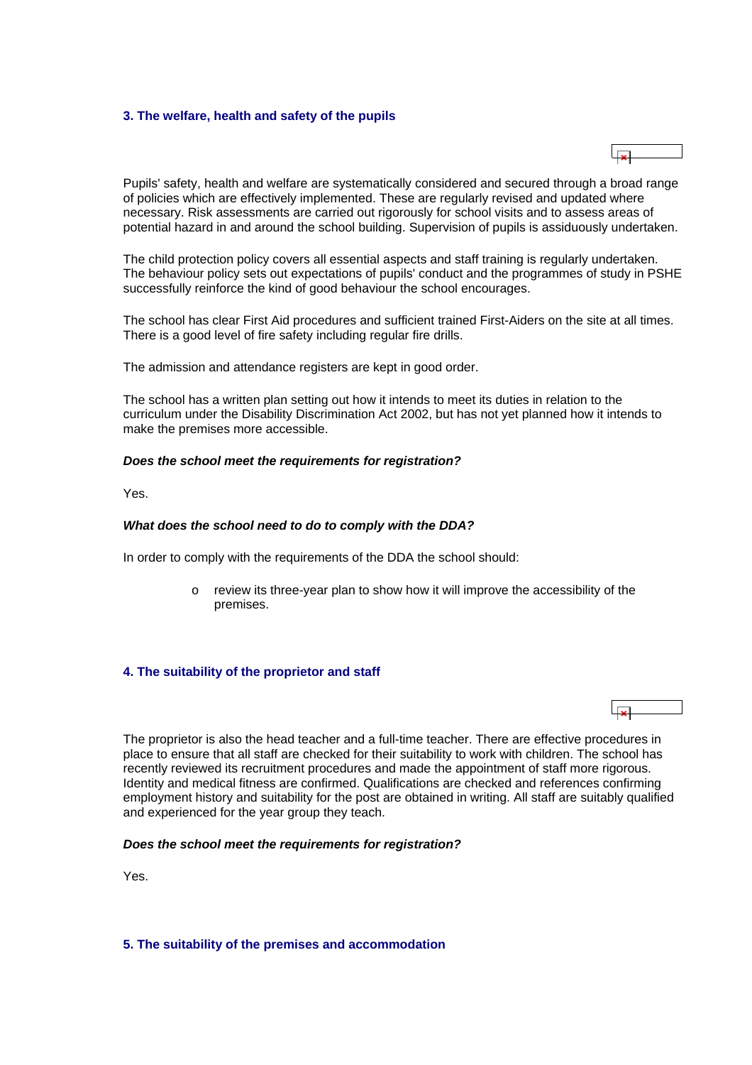## <span id="page-6-0"></span>**3. The welfare, health and safety of the pupils**



Pupils' safety, health and welfare are systematically considered and secured through a broad range of policies which are effectively implemented. These are regularly revised and updated where necessary. Risk assessments are carried out rigorously for school visits and to assess areas of potential hazard in and around the school building. Supervision of pupils is assiduously undertaken.

The child protection policy covers all essential aspects and staff training is regularly undertaken. The behaviour policy sets out expectations of pupils' conduct and the programmes of study in PSHE successfully reinforce the kind of good behaviour the school encourages.

The school has clear First Aid procedures and sufficient trained First-Aiders on the site at all times. There is a good level of fire safety including regular fire drills.

The admission and attendance registers are kept in good order.

The school has a written plan setting out how it intends to meet its duties in relation to the curriculum under the Disability Discrimination Act 2002, but has not yet planned how it intends to make the premises more accessible.

### *Does the school meet the requirements for registration?*

Yes.

### *What does the school need to do to comply with the DDA?*

In order to comply with the requirements of the DDA the school should:

o review its three-year plan to show how it will improve the accessibility of the premises.

## **4. The suitability of the proprietor and staff**



The proprietor is also the head teacher and a full-time teacher. There are effective procedures in place to ensure that all staff are checked for their suitability to work with children. The school has recently reviewed its recruitment procedures and made the appointment of staff more rigorous. Identity and medical fitness are confirmed. Qualifications are checked and references confirming employment history and suitability for the post are obtained in writing. All staff are suitably qualified and experienced for the year group they teach.

### *Does the school meet the requirements for registration?*

Yes.

### **5. The suitability of the premises and accommodation**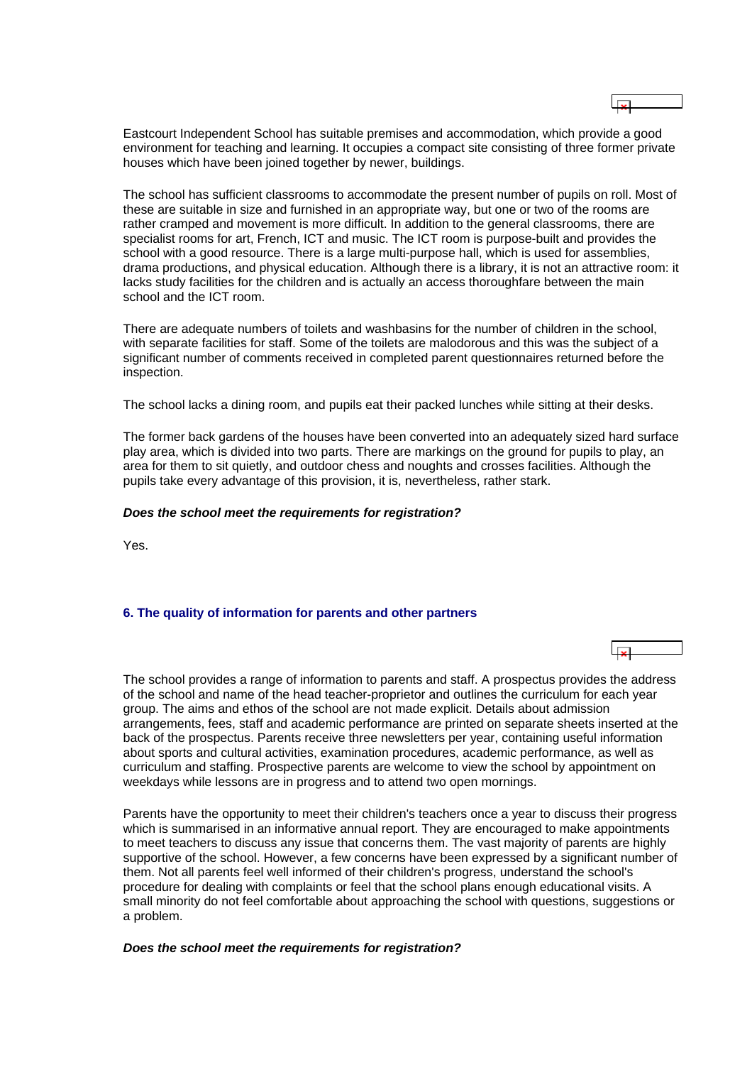<span id="page-7-0"></span>Eastcourt Independent School has suitable premises and accommodation, which provide a good environment for teaching and learning. It occupies a compact site consisting of three former private houses which have been joined together by newer, buildings.

The school has sufficient classrooms to accommodate the present number of pupils on roll. Most of these are suitable in size and furnished in an appropriate way, but one or two of the rooms are rather cramped and movement is more difficult. In addition to the general classrooms, there are specialist rooms for art, French, ICT and music. The ICT room is purpose-built and provides the school with a good resource. There is a large multi-purpose hall, which is used for assemblies, drama productions, and physical education. Although there is a library, it is not an attractive room: it lacks study facilities for the children and is actually an access thoroughfare between the main school and the ICT room.

There are adequate numbers of toilets and washbasins for the number of children in the school, with separate facilities for staff. Some of the toilets are malodorous and this was the subject of a significant number of comments received in completed parent questionnaires returned before the inspection.

The school lacks a dining room, and pupils eat their packed lunches while sitting at their desks.

The former back gardens of the houses have been converted into an adequately sized hard surface play area, which is divided into two parts. There are markings on the ground for pupils to play, an area for them to sit quietly, and outdoor chess and noughts and crosses facilities. Although the pupils take every advantage of this provision, it is, nevertheless, rather stark.

### *Does the school meet the requirements for registration?*

Yes.

# **6. The quality of information for parents and other partners**

The school provides a range of information to parents and staff. A prospectus provides the address of the school and name of the head teacher-proprietor and outlines the curriculum for each year group. The aims and ethos of the school are not made explicit. Details about admission arrangements, fees, staff and academic performance are printed on separate sheets inserted at the back of the prospectus. Parents receive three newsletters per year, containing useful information about sports and cultural activities, examination procedures, academic performance, as well as curriculum and staffing. Prospective parents are welcome to view the school by appointment on weekdays while lessons are in progress and to attend two open mornings.

Parents have the opportunity to meet their children's teachers once a year to discuss their progress which is summarised in an informative annual report. They are encouraged to make appointments to meet teachers to discuss any issue that concerns them. The vast majority of parents are highly supportive of the school. However, a few concerns have been expressed by a significant number of them. Not all parents feel well informed of their children's progress, understand the school's procedure for dealing with complaints or feel that the school plans enough educational visits. A small minority do not feel comfortable about approaching the school with questions, suggestions or a problem.

### *Does the school meet the requirements for registration?*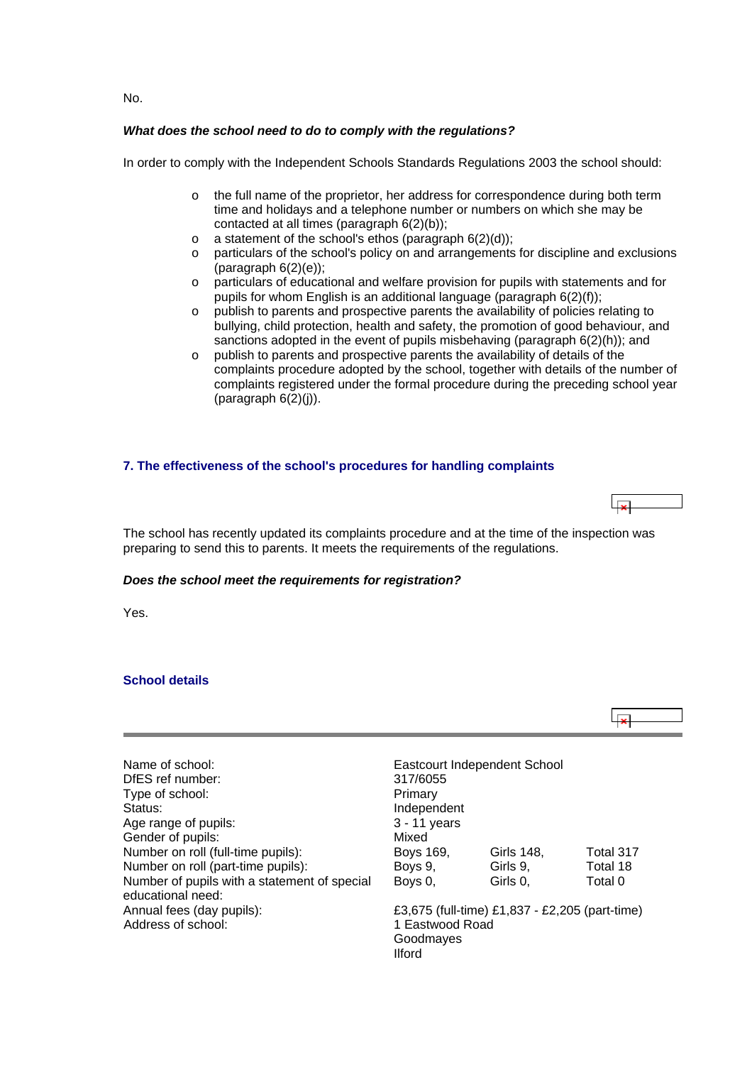<span id="page-8-0"></span>No.

# *What does the school need to do to comply with the regulations?*

In order to comply with the Independent Schools Standards Regulations 2003 the school should:

- $\circ$  the full name of the proprietor, her address for correspondence during both term time and holidays and a telephone number or numbers on which she may be contacted at all times (paragraph 6(2)(b));
- $\circ$  a statement of the school's ethos (paragraph  $6(2)(d)$ );
- o particulars of the school's policy on and arrangements for discipline and exclusions  $(paragraph 6(2)(e));$
- o particulars of educational and welfare provision for pupils with statements and for pupils for whom English is an additional language (paragraph 6(2)(f));
- o publish to parents and prospective parents the availability of policies relating to bullying, child protection, health and safety, the promotion of good behaviour, and sanctions adopted in the event of pupils misbehaving (paragraph 6(2)(h)); and
- o publish to parents and prospective parents the availability of details of the complaints procedure adopted by the school, together with details of the number of complaints registered under the formal procedure during the preceding school year  $(par \alpha)$  (paragraph  $6(2)(i)$ ).

## **7. The effectiveness of the school's procedures for handling complaints**

The school has recently updated its complaints procedure and at the time of the inspection was preparing to send this to parents. It meets the requirements of the regulations.

### *Does the school meet the requirements for registration?*

Yes.

# **School details**



| Name of school:                              |                 | Eastcourt Independent School                   |           |
|----------------------------------------------|-----------------|------------------------------------------------|-----------|
| DfES ref number:                             | 317/6055        |                                                |           |
| Type of school:                              | Primary         |                                                |           |
| Status:                                      | Independent     |                                                |           |
| Age range of pupils:                         | $3 - 11$ years  |                                                |           |
| Gender of pupils:                            | Mixed           |                                                |           |
| Number on roll (full-time pupils):           | Boys 169,       | Girls 148,                                     | Total 317 |
| Number on roll (part-time pupils):           | Boys 9,         | Girls 9,                                       | Total 18  |
| Number of pupils with a statement of special | Boys 0,         | Girls 0,                                       | Total 0   |
| educational need:                            |                 |                                                |           |
| Annual fees (day pupils):                    |                 | £3,675 (full-time) £1,837 - £2,205 (part-time) |           |
| Address of school:                           | 1 Eastwood Road |                                                |           |

| <b>Eastcourt Independent School</b><br>317/6055<br>Primary<br>Independent<br>3 - 11 years |                      |                    |
|-------------------------------------------------------------------------------------------|----------------------|--------------------|
| Mixed<br>Boys 169,                                                                        | Girls 148,           | Total 3            |
| Boys 9,<br>Boys 0,                                                                        | Girls 9,<br>Girls 0, | Total 1<br>Total 0 |
| £3,675 (full-time) £1,837 - £2,205 (part-tir                                              |                      |                    |

1 Eastwood Road Goodmayes Ilford